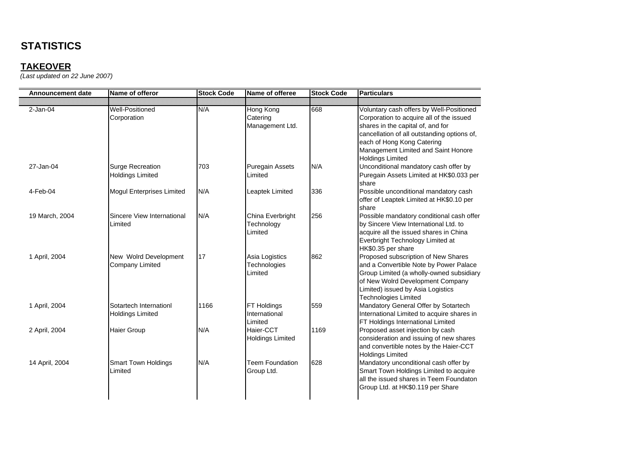### **TAKEOVER**

| <b>Announcement date</b> | Name of offeror                                    | <b>Stock Code</b> | Name of offeree                                 | <b>Stock Code</b> | Particulars                                                                                                                                                                                                                                                              |
|--------------------------|----------------------------------------------------|-------------------|-------------------------------------------------|-------------------|--------------------------------------------------------------------------------------------------------------------------------------------------------------------------------------------------------------------------------------------------------------------------|
|                          |                                                    |                   |                                                 |                   |                                                                                                                                                                                                                                                                          |
| $2-Jan-04$               | <b>Well-Positioned</b><br>Corporation              | N/A               | <b>Hong Kong</b><br>Catering<br>Management Ltd. | 668               | Voluntary cash offers by Well-Positioned<br>Corporation to acquire all of the issued<br>shares in the capital of, and for<br>cancellation of all outstanding options of,<br>each of Hong Kong Catering<br>Management Limited and Saint Honore<br><b>Holdings Limited</b> |
| 27-Jan-04                | <b>Surge Recreation</b><br><b>Holdings Limited</b> | 703               | <b>Puregain Assets</b><br>Limited               | N/A               | Unconditional mandatory cash offer by<br>Puregain Assets Limited at HK\$0.033 per<br>share                                                                                                                                                                               |
| 4-Feb-04                 | <b>Mogul Enterprises Limited</b>                   | N/A               | Leaptek Limited                                 | 336               | Possible unconditional mandatory cash<br>offer of Leaptek Limited at HK\$0.10 per<br>share                                                                                                                                                                               |
| 19 March, 2004           | Sincere View International<br>Limited              | N/A               | China Everbright<br>Technology<br>Limited       | 256               | Possible mandatory conditional cash offer<br>by Sincere View International Ltd. to<br>acquire all the issued shares in China<br>Everbright Technology Limited at<br>HK\$0.35 per share                                                                                   |
| 1 April, 2004            | New Wolrd Development<br><b>Company Limited</b>    | 17                | Asia Logistics<br>Technologies<br>Limited       | 862               | Proposed subscription of New Shares<br>and a Convertible Note by Power Palace<br>Group Limited (a wholly-owned subsidiary<br>of New Wolrd Development Company<br>Limited) issued by Asia Logistics<br><b>Technologies Limited</b>                                        |
| 1 April, 2004            | Sotartech Internationl<br><b>Holdings Limited</b>  | 1166              | FT Holdings<br>International<br>Limited         | 559               | Mandatory General Offer by Sotartech<br>International Limited to acquire shares in<br>FT Holdings International Limited                                                                                                                                                  |
| 2 April, 2004            | <b>Haier Group</b>                                 | N/A               | Haier-CCT<br><b>Holdings Limited</b>            | 1169              | Proposed asset injection by cash<br>consideration and issuing of new shares<br>and convertible notes by the Haier-CCT<br><b>Holdings Limited</b>                                                                                                                         |
| 14 April, 2004           | <b>Smart Town Holdings</b><br>Limited              | N/A               | <b>Teem Foundation</b><br>Group Ltd.            | 628               | Mandatory unconditional cash offer by<br>Smart Town Holdings Limited to acquire<br>all the issued shares in Teem Foundaton<br>Group Ltd. at HK\$0.119 per Share                                                                                                          |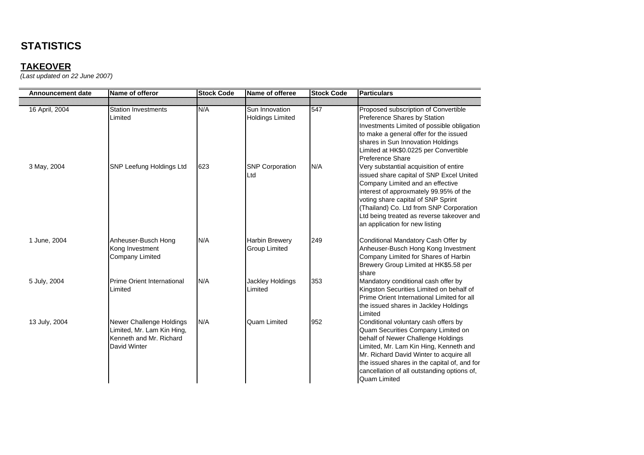## **TAKEOVER**

| <b>Announcement date</b> | Name of offeror                                                                                   | <b>Stock Code</b> | Name of offeree                           | <b>Stock Code</b> | <b>Particulars</b>                                                                                                                                                                                                                                                                                                               |
|--------------------------|---------------------------------------------------------------------------------------------------|-------------------|-------------------------------------------|-------------------|----------------------------------------------------------------------------------------------------------------------------------------------------------------------------------------------------------------------------------------------------------------------------------------------------------------------------------|
|                          |                                                                                                   |                   |                                           |                   |                                                                                                                                                                                                                                                                                                                                  |
| 16 April, 2004           | <b>Station Investments</b><br>Limited                                                             | N/A               | Sun Innovation<br><b>Holdings Limited</b> | 547               | Proposed subscription of Convertible<br>Preference Shares by Station<br>Investments Limited of possible obligation<br>to make a general offer for the issued<br>shares in Sun Innovation Holdings<br>Limited at HK\$0.0225 per Convertible<br><b>Preference Share</b>                                                            |
| 3 May, 2004              | <b>SNP Leefung Holdings Ltd</b>                                                                   | 623               | <b>SNP Corporation</b><br>Ltd             | N/A               | Very substantial acquisition of entire<br>issued share capital of SNP Excel United<br>Company Limited and an effective<br>interest of approxmately 99.95% of the<br>voting share capital of SNP Sprint<br>(Thailand) Co. Ltd from SNP Corporation<br>Ltd being treated as reverse takeover and<br>an application for new listing |
| 1 June, 2004             | Anheuser-Busch Hong<br>Kong Investment<br><b>Company Limited</b>                                  | N/A               | Harbin Brewery<br><b>Group Limited</b>    | 249               | Conditional Mandatory Cash Offer by<br>Anheuser-Busch Hong Kong Investment<br>Company Limited for Shares of Harbin<br>Brewery Group Limited at HK\$5.58 per<br>share                                                                                                                                                             |
| 5 July, 2004             | Prime Orient International<br>Limited                                                             | N/A               | Jackley Holdings<br>Limited               | 353               | Mandatory conditional cash offer by<br>Kingston Securities Limited on behalf of<br>Prime Orient International Limited for all<br>the issued shares in Jackley Holdings<br>Limited                                                                                                                                                |
| 13 July, 2004            | Newer Challenge Holdings<br>Limited, Mr. Lam Kin Hing,<br>Kenneth and Mr. Richard<br>David Winter | N/A               | <b>Quam Limited</b>                       | 952               | Conditional voluntary cash offers by<br>Quam Securities Company Limited on<br>behalf of Newer Challenge Holdings<br>Limited, Mr. Lam Kin Hing, Kenneth and<br>Mr. Richard David Winter to acquire all<br>the issued shares in the capital of, and for<br>cancellation of all outstanding options of,<br><b>Quam Limited</b>      |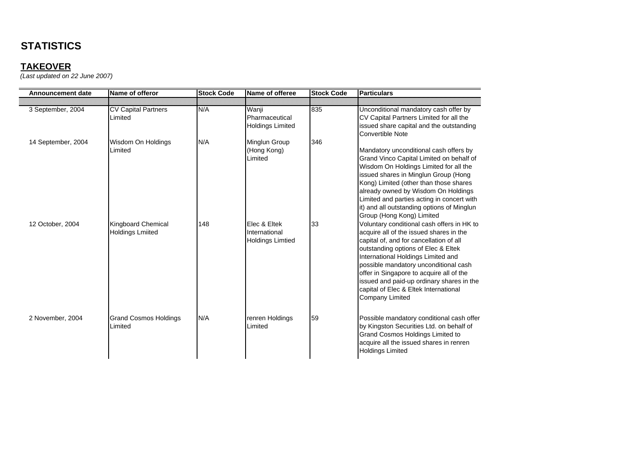## **TAKEOVER**

| <b>Announcement date</b> | Name of offeror                               | <b>Stock Code</b> | Name of offeree                                          | <b>Stock Code</b> | <b>Particulars</b>                                                                                                                                                                                                                                                                                                                                                                                                 |
|--------------------------|-----------------------------------------------|-------------------|----------------------------------------------------------|-------------------|--------------------------------------------------------------------------------------------------------------------------------------------------------------------------------------------------------------------------------------------------------------------------------------------------------------------------------------------------------------------------------------------------------------------|
|                          |                                               |                   |                                                          |                   |                                                                                                                                                                                                                                                                                                                                                                                                                    |
| 3 September, 2004        | <b>CV Capital Partners</b><br>Limited         | N/A               | Wanji<br>Pharmaceutical<br><b>Holdings Limited</b>       | 835               | Unconditional mandatory cash offer by<br>CV Capital Partners Limited for all the<br>issued share capital and the outstanding<br><b>Convertible Note</b>                                                                                                                                                                                                                                                            |
| 14 September, 2004       | Wisdom On Holdings<br>Limited                 | N/A               | Minglun Group<br>(Hong Kong)<br>Limited                  | 346               | Mandatory unconditional cash offers by<br>Grand Vinco Capital Limited on behalf of<br>Wisdom On Holdings Limited for all the<br>issued shares in Minglun Group (Hong<br>Kong) Limited (other than those shares<br>already owned by Wisdom On Holdings<br>Limited and parties acting in concert with<br>it) and all outstanding options of Minglun<br>Group (Hong Kong) Limited                                     |
| 12 October, 2004         | Kingboard Chemical<br><b>Holdings Lmiited</b> | 148               | Elec & Eltek<br>International<br><b>Holdings Limtied</b> | 33                | Voluntary conditional cash offers in HK to<br>acquire all of the issued shares in the<br>capital of, and for cancellation of all<br>outstanding options of Elec & Eltek<br>International Holdings Limited and<br>possible mandatory unconditional cash<br>offer in Singapore to acquire all of the<br>issued and paid-up ordinary shares in the<br>capital of Elec & Eltek International<br><b>Company Limited</b> |
| 2 November, 2004         | <b>Grand Cosmos Holdings</b><br>Limited       | N/A               | renren Holdings<br>Limited                               | 59                | Possible mandatory conditional cash offer<br>by Kingston Securities Ltd. on behalf of<br>Grand Cosmos Holdings Limited to<br>acquire all the issued shares in renren<br><b>Holdings Limited</b>                                                                                                                                                                                                                    |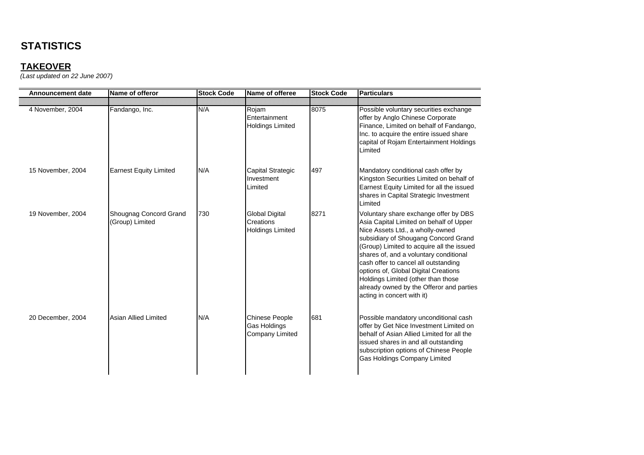| Announcement date | Name of offeror                           | <b>Stock Code</b> | Name of offeree                                                 | <b>Stock Code</b> | <b>Particulars</b>                                                                                                                                                                                                                                                                                                                                                                                                                                  |
|-------------------|-------------------------------------------|-------------------|-----------------------------------------------------------------|-------------------|-----------------------------------------------------------------------------------------------------------------------------------------------------------------------------------------------------------------------------------------------------------------------------------------------------------------------------------------------------------------------------------------------------------------------------------------------------|
| 4 November, 2004  | Fandango, Inc.                            | N/A               | Rojam<br><b>Fntertainment</b><br><b>Holdings Limited</b>        | 8075              | Possible voluntary securities exchange<br>offer by Anglo Chinese Corporate<br>Finance, Limited on behalf of Fandango,<br>Inc. to acquire the entire issued share<br>capital of Rojam Entertainment Holdings<br>Limited                                                                                                                                                                                                                              |
| 15 November, 2004 | <b>Earnest Equity Limited</b>             | N/A               | Capital Strategic<br>Investment<br>Limited                      | 497               | Mandatory conditional cash offer by<br>Kingston Securities Limited on behalf of<br>Earnest Equity Limited for all the issued<br>shares in Capital Strategic Investment<br>Limited                                                                                                                                                                                                                                                                   |
| 19 November, 2004 | Shougnag Concord Grand<br>(Group) Limited | 730               | Global Digital<br>Creations<br><b>Holdings Limited</b>          | 8271              | Voluntary share exchange offer by DBS<br>Asia Capital Limited on behalf of Upper<br>Nice Assets Ltd., a wholly-owned<br>subsidiary of Shougang Concord Grand<br>(Group) Limited to acquire all the issued<br>shares of, and a voluntary conditional<br>cash offer to cancel all outstanding<br>options of, Global Digital Creations<br>Holdings Limited (other than those<br>already owned by the Offeror and parties<br>acting in concert with it) |
| 20 December, 2004 | Asian Allied Limited                      | N/A               | <b>Chinese People</b><br>Gas Holdings<br><b>Company Limited</b> | 681               | Possible mandatory unconditional cash<br>offer by Get Nice Investment Limited on<br>behalf of Asian Allied Limited for all the<br>issued shares in and all outstanding<br>subscription options of Chinese People<br><b>Gas Holdings Company Limited</b>                                                                                                                                                                                             |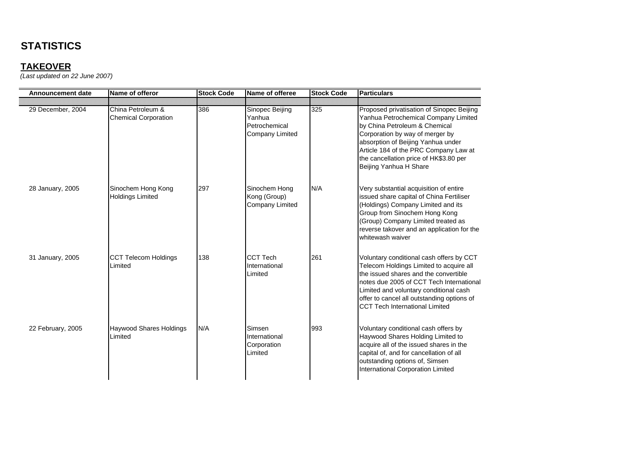## **TAKEOVER**

| <b>Announcement date</b> | Name of offeror                                  | <b>Stock Code</b> | Name of offeree                                               | <b>Stock Code</b> | <b>Particulars</b>                                                                                                                                                                                                                                                                                        |
|--------------------------|--------------------------------------------------|-------------------|---------------------------------------------------------------|-------------------|-----------------------------------------------------------------------------------------------------------------------------------------------------------------------------------------------------------------------------------------------------------------------------------------------------------|
|                          |                                                  |                   |                                                               |                   |                                                                                                                                                                                                                                                                                                           |
| 29 December, 2004        | China Petroleum &<br><b>Chemical Corporation</b> | 386               | Sinopec Beijing<br>Yanhua<br>Petrochemical<br>Company Limited | 325               | Proposed privatisation of Sinopec Beijing<br>Yanhua Petrochemical Company Limited<br>by China Petroleum & Chemical<br>Corporation by way of merger by<br>absorption of Beijing Yanhua under<br>Article 184 of the PRC Company Law at<br>the cancellation price of HK\$3.80 per<br>Beijing Yanhua H Share  |
| 28 January, 2005         | Sinochem Hong Kong<br><b>Holdings Limited</b>    | 297               | Sinochem Hong<br>Kong (Group)<br>Company Limited              | N/A               | Very substantial acquisition of entire<br>issued share capital of China Fertiliser<br>(Holdings) Company Limited and its<br>Group from Sinochem Hong Kong<br>(Group) Company Limited treated as<br>reverse takover and an application for the<br>whitewash waiver                                         |
| 31 January, 2005         | <b>CCT Telecom Holdings</b><br>Limited           | 138               | <b>CCT Tech</b><br>International<br>Limited                   | 261               | Voluntary conditional cash offers by CCT<br>Telecom Holdings Limited to acquire all<br>the issued shares and the convertible<br>notes due 2005 of CCT Tech International<br>Limited and voluntary conditional cash<br>offer to cancel all outstanding options of<br><b>CCT Tech International Limited</b> |
| 22 February, 2005        | Haywood Shares Holdings<br>Limited               | N/A               | Simsen<br>International<br>Corporation<br>Limited             | 993               | Voluntary conditional cash offers by<br>Haywood Shares Holding Limited to<br>acquire all of the issued shares in the<br>capital of, and for cancellation of all<br>outstanding options of, Simsen<br>International Corporation Limited                                                                    |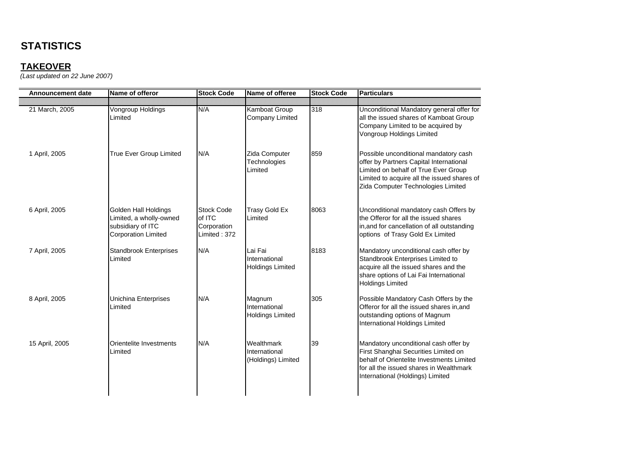| <b>Announcement date</b> | Name of offeror                                                                                    | <b>Stock Code</b>                                          | Name of offeree                                     | <b>Stock Code</b> | Particulars                                                                                                                                                                                                   |
|--------------------------|----------------------------------------------------------------------------------------------------|------------------------------------------------------------|-----------------------------------------------------|-------------------|---------------------------------------------------------------------------------------------------------------------------------------------------------------------------------------------------------------|
| 21 March, 2005           | Vongroup Holdings<br>Limited                                                                       | N/A                                                        | Kamboat Group<br><b>Company Limited</b>             | 318               | Unconditional Mandatory general offer for<br>all the issued shares of Kamboat Group<br>Company Limited to be acquired by<br>Vongroup Holdings Limited                                                         |
| 1 April, 2005            | True Ever Group Limited                                                                            | N/A                                                        | Zida Computer<br>Technologies<br>Limited            | 859               | Possible unconditional mandatory cash<br>offer by Partners Capital International<br>Limited on behalf of True Ever Group<br>Limited to acquire all the issued shares of<br>Zida Computer Technologies Limited |
| 6 April, 2005            | Golden Hall Holdings<br>Limited, a wholly-owned<br>subsidiary of ITC<br><b>Corporation Limited</b> | <b>Stock Code</b><br>of ITC<br>Corporation<br>Limited: 372 | <b>Trasy Gold Ex</b><br>Limited                     | 8063              | Unconditional mandatory cash Offers by<br>the Offeror for all the issued shares<br>in, and for cancellation of all outstanding<br>options of Trasy Gold Ex Limited                                            |
| 7 April, 2005            | <b>Standbrook Enterprises</b><br>Limited                                                           | N/A                                                        | Lai Fai<br>International<br><b>Holdings Limited</b> | 8183              | Mandatory unconditional cash offer by<br>Standbrook Enterprises Limited to<br>acquire all the issued shares and the<br>share options of Lai Fai International<br><b>Holdings Limited</b>                      |
| 8 April, 2005            | Unichina Enterprises<br>Limited                                                                    | N/A                                                        | Magnum<br>International<br><b>Holdings Limited</b>  | 305               | Possible Mandatory Cash Offers by the<br>Offeror for all the issued shares in, and<br>outstanding options of Magnum<br>International Holdings Limited                                                         |
| 15 April, 2005           | Orientelite Investments<br>Limited                                                                 | N/A                                                        | Wealthmark<br>International<br>(Holdings) Limited   | 39                | Mandatory unconditional cash offer by<br>First Shanghai Securities Limited on<br>behalf of Orientelite Investments Limited<br>for all the issued shares in Wealthmark<br>International (Holdings) Limited     |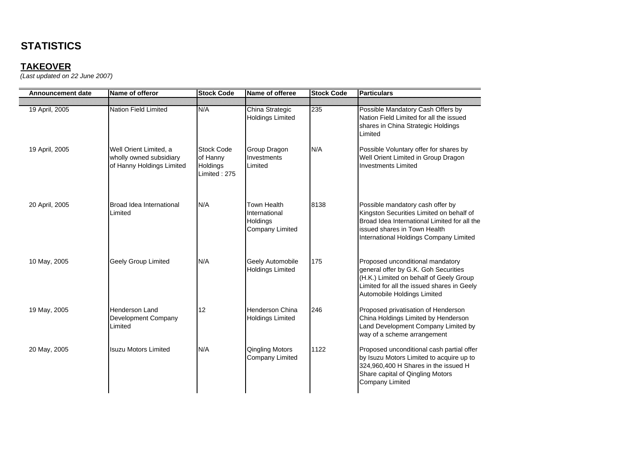| <b>Announcement date</b> | Name of offeror                                                                | <b>Stock Code</b>                                         | Name of offeree                                                           | <b>Stock Code</b> | <b>Particulars</b>                                                                                                                                                                                     |
|--------------------------|--------------------------------------------------------------------------------|-----------------------------------------------------------|---------------------------------------------------------------------------|-------------------|--------------------------------------------------------------------------------------------------------------------------------------------------------------------------------------------------------|
| 19 April, 2005           | Nation Field Limited                                                           | N/A                                                       | China Strategic<br><b>Holdings Limited</b>                                | 235               | Possible Mandatory Cash Offers by<br>Nation Field Limited for all the issued<br>shares in China Strategic Holdings<br>Limited                                                                          |
| 19 April, 2005           | Well Orient Limited, a<br>wholly owned subsidiary<br>of Hanny Holdings Limited | <b>Stock Code</b><br>of Hanny<br>Holdings<br>Limited: 275 | Group Dragon<br>Investments<br>Limited                                    | N/A               | Possible Voluntary offer for shares by<br>Well Orient Limited in Group Dragon<br><b>Investments Limited</b>                                                                                            |
| 20 April, 2005           | Broad Idea International<br>Limited                                            | N/A                                                       | <b>Town Health</b><br>International<br>Holdings<br><b>Company Limited</b> | 8138              | Possible mandatory cash offer by<br>Kingston Securities Limited on behalf of<br>Broad Idea International Limited for all the<br>issued shares in Town Health<br>International Holdings Company Limited |
| 10 May, 2005             | <b>Geely Group Limited</b>                                                     | N/A                                                       | Geely Automobile<br><b>Holdings Limited</b>                               | 175               | Proposed unconditional mandatory<br>general offer by G.K. Goh Securities<br>(H.K.) Limited on behalf of Geely Group<br>Limited for all the issued shares in Geely<br>Automobile Holdings Limited       |
| 19 May, 2005             | <b>Henderson Land</b><br>Development Company<br>Limited                        | 12                                                        | <b>Henderson China</b><br><b>Holdings Limited</b>                         | 246               | Proposed privatisation of Henderson<br>China Holdings Limited by Henderson<br>Land Development Company Limited by<br>way of a scheme arrangement                                                       |
| 20 May, 2005             | <b>Isuzu Motors Limited</b>                                                    | N/A                                                       | <b>Qingling Motors</b><br>Company Limited                                 | 1122              | Proposed unconditional cash partial offer<br>by Isuzu Motors Limited to acquire up to<br>324,960,400 H Shares in the issued H<br>Share capital of Qingling Motors<br><b>Company Limited</b>            |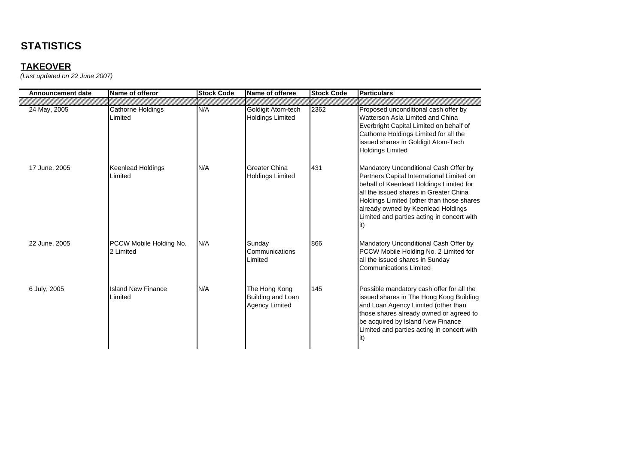## **TAKEOVER**

| <b>Announcement date</b> | Name of offeror                      | <b>Stock Code</b> | Name of offeree                                             | <b>Stock Code</b> | <b>Particulars</b>                                                                                                                                                                                                                                                                                               |
|--------------------------|--------------------------------------|-------------------|-------------------------------------------------------------|-------------------|------------------------------------------------------------------------------------------------------------------------------------------------------------------------------------------------------------------------------------------------------------------------------------------------------------------|
|                          |                                      |                   |                                                             |                   |                                                                                                                                                                                                                                                                                                                  |
| 24 May, 2005             | Cathorne Holdings<br>Limited         | N/A               | Goldigit Atom-tech<br><b>Holdings Limited</b>               | 2362              | Proposed unconditional cash offer by<br>Watterson Asia Limited and China<br>Everbright Capital Limited on behalf of<br>Cathorne Holdings Limited for all the<br>issued shares in Goldigit Atom-Tech<br><b>Holdings Limited</b>                                                                                   |
| 17 June, 2005            | Keenlead Holdings<br>Limited         | N/A               | <b>Greater China</b><br><b>Holdings Limited</b>             | 431               | Mandatory Unconditional Cash Offer by<br>Partners Capital International Limited on<br>behalf of Keenlead Holdings Limited for<br>all the issued shares in Greater China<br>Holdings Limited (other than those shares<br>already owned by Keenlead Holdings<br>Limited and parties acting in concert with<br>lit) |
| 22 June, 2005            | PCCW Mobile Holding No.<br>2 Limited | N/A               | Sunday<br>Communications<br>Limited                         | 866               | Mandatory Unconditional Cash Offer by<br>PCCW Mobile Holding No. 2 Limited for<br>all the issued shares in Sunday<br>Communications Limited                                                                                                                                                                      |
| 6 July, 2005             | <b>Island New Finance</b><br>Limited | N/A               | The Hong Kong<br>Building and Loan<br><b>Agency Limited</b> | 145               | Possible mandatory cash offer for all the<br>issued shares in The Hong Kong Building<br>and Loan Agency Limited (other than<br>those shares already owned or agreed to<br>be acquired by Island New Finance<br>Limited and parties acting in concert with<br>(it                                                 |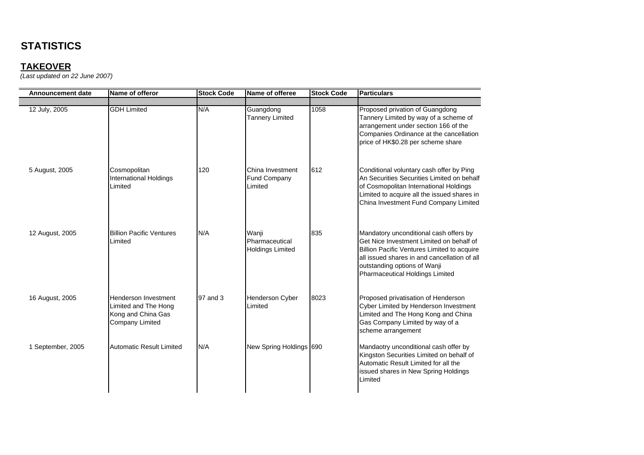| <b>Announcement date</b> | Name of offeror                                                                              | <b>Stock Code</b> | Name of offeree                                    | <b>Stock Code</b> | <b>Particulars</b>                                                                                                                                                                                                                                   |
|--------------------------|----------------------------------------------------------------------------------------------|-------------------|----------------------------------------------------|-------------------|------------------------------------------------------------------------------------------------------------------------------------------------------------------------------------------------------------------------------------------------------|
| 12 July, 2005            | <b>GDH Limited</b>                                                                           | N/A               | Guangdong<br><b>Tannery Limited</b>                | 1058              | Proposed privation of Guangdong<br>Tannery Limited by way of a scheme of<br>arrangement under section 166 of the<br>Companies Ordinance at the cancellation<br>price of HK\$0.28 per scheme share                                                    |
| 5 August, 2005           | Cosmopolitan<br><b>International Holdings</b><br>Limited                                     | 120               | China Investment<br><b>Fund Company</b><br>Limited | 612               | Conditional voluntary cash offer by Ping<br>An Securities Securities Limited on behalf<br>of Cosmopolitan International Holdings<br>Limited to acquire all the issued shares in<br>China Investment Fund Company Limited                             |
| 12 August, 2005          | <b>Billion Pacific Ventures</b><br>Limited                                                   | N/A               | Wanji<br>Pharmaceutical<br><b>Holdings Limited</b> | 835               | Mandatory unconditional cash offers by<br>Get Nice Investment Limited on behalf of<br>Billion Pacific Ventures Limited to acquire<br>all issued shares in and cancellation of all<br>outstanding options of Wanji<br>Pharmaceutical Holdings Limited |
| 16 August, 2005          | Henderson Investment<br>Limited and The Hong<br>Kong and China Gas<br><b>Company Limited</b> | 97 and 3          | Henderson Cyber<br>Limited                         | 8023              | Proposed privatisation of Henderson<br>Cyber Limited by Henderson Investment<br>Limited and The Hong Kong and China<br>Gas Company Limited by way of a<br>scheme arrangement                                                                         |
| 1 September, 2005        | <b>Automatic Result Limited</b>                                                              | N/A               | New Spring Holdings 690                            |                   | Mandaotry unconditional cash offer by<br>Kingston Securities Limited on behalf of<br>Automatic Result Limited for all the<br>issued shares in New Spring Holdings<br>Limited                                                                         |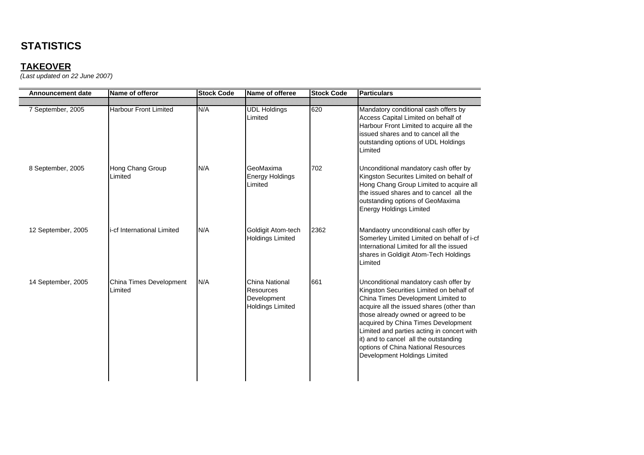| <b>Announcement date</b> | Name of offeror                    | <b>Stock Code</b> | Name of offeree                                                              | <b>Stock Code</b> | <b>Particulars</b>                                                                                                                                                                                                                                                                                                                                                                                               |
|--------------------------|------------------------------------|-------------------|------------------------------------------------------------------------------|-------------------|------------------------------------------------------------------------------------------------------------------------------------------------------------------------------------------------------------------------------------------------------------------------------------------------------------------------------------------------------------------------------------------------------------------|
| 7 September, 2005        | <b>Harbour Front Limited</b>       | N/A               | <b>UDL Holdings</b><br>Limited                                               | 620               | Mandatory conditional cash offers by<br>Access Capital Limited on behalf of<br>Harbour Front Limited to acquire all the<br>issued shares and to cancel all the<br>outstanding options of UDL Holdings<br>Limited                                                                                                                                                                                                 |
| 8 September, 2005        | Hong Chang Group<br>Limited        | N/A               | GeoMaxima<br><b>Energy Holdings</b><br>Limited                               | 702               | Unconditional mandatory cash offer by<br>Kingston Securites Limited on behalf of<br>Hong Chang Group Limited to acquire all<br>the issued shares and to cancel all the<br>outstanding options of GeoMaxima<br><b>Energy Holdings Limited</b>                                                                                                                                                                     |
| 12 September, 2005       | i-cf International Limited         | N/A               | Goldigit Atom-tech<br><b>Holdings Limited</b>                                | 2362              | Mandaotry unconditional cash offer by<br>Somerley Limited Limited on behalf of i-cf<br>International Limited for all the issued<br>shares in Goldigit Atom-Tech Holdings<br>Limited                                                                                                                                                                                                                              |
| 14 September, 2005       | China Times Development<br>Limited | N/A               | <b>China National</b><br>Resources<br>Development<br><b>Holdings Limited</b> | 661               | Unconditional mandatory cash offer by<br>Kingston Securities Limited on behalf of<br>China Times Development Limited to<br>acquire all the issued shares (other than<br>those already owned or agreed to be<br>acquired by China Times Development<br>Limited and parties acting in concert with<br>it) and to cancel all the outstanding<br>options of China National Resources<br>Development Holdings Limited |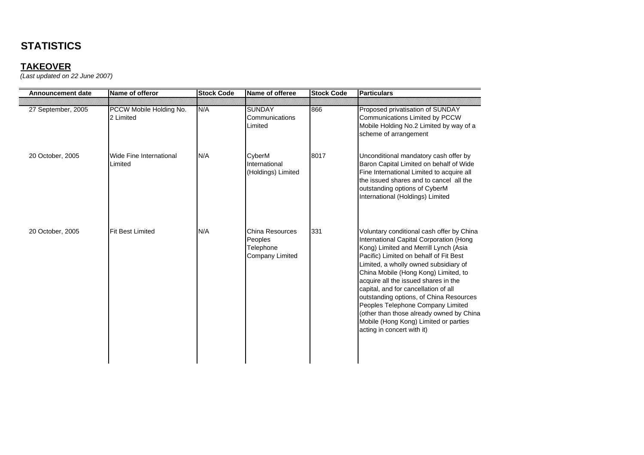## **TAKEOVER**

| <b>Announcement date</b> | Name of offeror                      | <b>Stock Code</b> | Name of offeree                                                          | <b>Stock Code</b> | <b>Particulars</b>                                                                                                                                                                                                                                                                                                                                                                                                                                                                                                                          |
|--------------------------|--------------------------------------|-------------------|--------------------------------------------------------------------------|-------------------|---------------------------------------------------------------------------------------------------------------------------------------------------------------------------------------------------------------------------------------------------------------------------------------------------------------------------------------------------------------------------------------------------------------------------------------------------------------------------------------------------------------------------------------------|
| 27 September, 2005       | PCCW Mobile Holding No.<br>2 Limited | N/A               | <b>SUNDAY</b><br>Communications<br>Limited                               | 866               | Proposed privatisation of SUNDAY<br>Communications Limited by PCCW<br>Mobile Holding No.2 Limited by way of a<br>scheme of arrangement                                                                                                                                                                                                                                                                                                                                                                                                      |
| 20 October, 2005         | Wide Fine International<br>Limited   | N/A               | CyberM<br>International<br>(Holdings) Limited                            | 8017              | Unconditional mandatory cash offer by<br>Baron Capital Limited on behalf of Wide<br>Fine International Limited to acquire all<br>the issued shares and to cancel all the<br>outstanding options of CyberM<br>International (Holdings) Limited                                                                                                                                                                                                                                                                                               |
| 20 October, 2005         | <b>Fit Best Limited</b>              | N/A               | <b>China Resources</b><br>Peoples<br>Telephone<br><b>Company Limited</b> | 331               | Voluntary conditional cash offer by China<br>International Capital Corporation (Hong<br>Kong) Limited and Merrill Lynch (Asia<br>Pacific) Limited on behalf of Fit Best<br>Limited, a wholly owned subsidiary of<br>China Mobile (Hong Kong) Limited, to<br>acquire all the issued shares in the<br>capital, and for cancellation of all<br>outstanding options, of China Resources<br>Peoples Telephone Company Limited<br>(other than those already owned by China<br>Mobile (Hong Kong) Limited or parties<br>acting in concert with it) |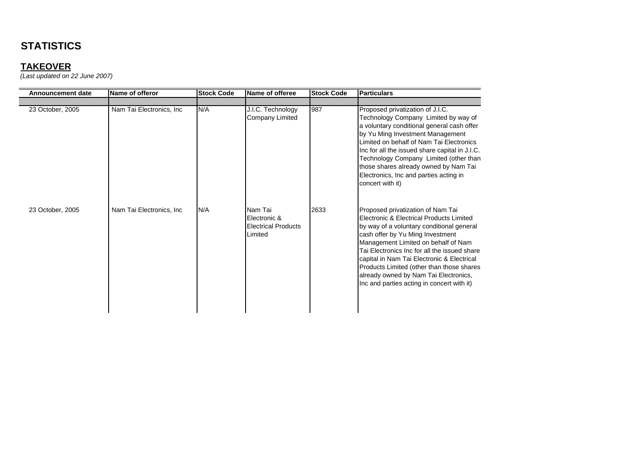| <b>Announcement date</b> | Name of offeror           | <b>Stock Code</b> | Name of offeree                                                  | <b>Stock Code</b> | <b>Particulars</b>                                                                                                                                                                                                                                                                                                                                                                                                                      |
|--------------------------|---------------------------|-------------------|------------------------------------------------------------------|-------------------|-----------------------------------------------------------------------------------------------------------------------------------------------------------------------------------------------------------------------------------------------------------------------------------------------------------------------------------------------------------------------------------------------------------------------------------------|
|                          |                           |                   |                                                                  |                   |                                                                                                                                                                                                                                                                                                                                                                                                                                         |
| 23 October, 2005         | Nam Tai Electronics, Inc. | N/A               | J.I.C. Technology<br><b>Company Limited</b>                      | 987               | Proposed privatization of J.I.C.<br>Technology Company Limited by way of<br>a voluntary conditional general cash offer<br>by Yu Ming Investment Management<br>Limited on behalf of Nam Tai Electronics<br>Inc for all the issued share capital in J.I.C.<br>Technology Company Limited (other than<br>those shares already owned by Nam Tai<br>Electronics, Inc and parties acting in<br>concert with it)                               |
| 23 October, 2005         | Nam Tai Electronics, Inc. | N/A               | Nam Tai<br>Electronic &<br><b>Electrical Products</b><br>Limited | 2633              | Proposed privatization of Nam Tai<br>Electronic & Electrical Products Limited<br>by way of a voluntary conditional general<br>cash offer by Yu Ming Investment<br>Management Limited on behalf of Nam<br>Tai Electronics Inc for all the issued share<br>capital in Nam Tai Electronic & Electrical<br>Products Limited (other than those shares<br>already owned by Nam Tai Electronics,<br>Inc and parties acting in concert with it) |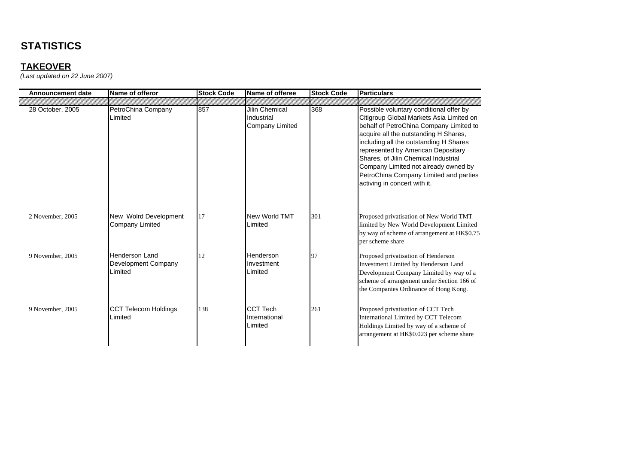## **TAKEOVER**

| Announcement date | Name of offeror                                         | <b>Stock Code</b> | Name of offeree                                        | <b>Stock Code</b> | <b>Particulars</b>                                                                                                                                                                                                                                                                                                                                                                                                |
|-------------------|---------------------------------------------------------|-------------------|--------------------------------------------------------|-------------------|-------------------------------------------------------------------------------------------------------------------------------------------------------------------------------------------------------------------------------------------------------------------------------------------------------------------------------------------------------------------------------------------------------------------|
|                   |                                                         |                   |                                                        |                   |                                                                                                                                                                                                                                                                                                                                                                                                                   |
| 28 October, 2005  | PetroChina Company<br>Limited                           | 857               | <b>Jilin Chemical</b><br>Industrial<br>Company Limited | 368               | Possible voluntary conditional offer by<br>Citigroup Global Markets Asia Limited on<br>behalf of PetroChina Company Limited to<br>acquire all the outstanding H Shares,<br>including all the outstanding H Shares<br>represented by American Depositary<br>Shares, of Jilin Chemical Industrial<br>Company Limited not already owned by<br>PetroChina Company Limited and parties<br>activing in concert with it. |
| 2 November, 2005  | New Wolrd Development<br>Company Limited                | 17                | New World TMT<br>Limited                               | 301               | Proposed privatisation of New World TMT<br>limited by New World Development Limited<br>by way of scheme of arrangement at HK\$0.75<br>per scheme share                                                                                                                                                                                                                                                            |
| 9 November, 2005  | <b>Henderson Land</b><br>Development Company<br>Limited | 12                | Henderson<br>Investment<br>Limited                     | 97                | Proposed privatisation of Henderson<br>Investment Limited by Henderson Land<br>Development Company Limited by way of a<br>scheme of arrangement under Section 166 of<br>the Companies Ordinance of Hong Kong.                                                                                                                                                                                                     |
| 9 November, 2005  | <b>CCT Telecom Holdings</b><br>Limited                  | 138               | <b>CCT Tech</b><br>International<br>Limited            | 261               | Proposed privatisation of CCT Tech<br>International Limited by CCT Telecom<br>Holdings Limited by way of a scheme of<br>arrangement at HK\$0.023 per scheme share                                                                                                                                                                                                                                                 |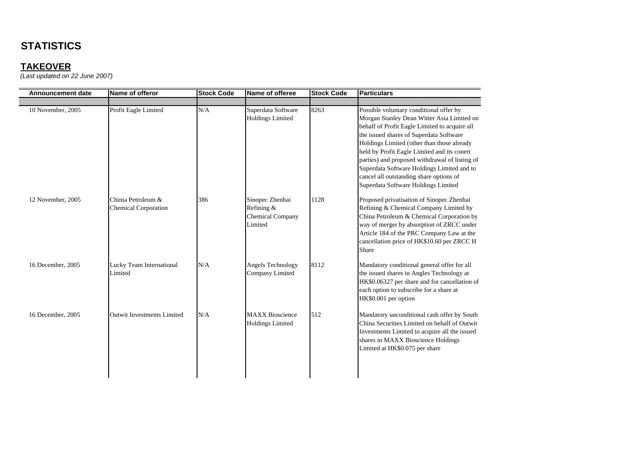## **TAKEOVER**

| <b>Announcement date</b> | Name of offeror                                   | <b>Stock Code</b> | Name of offeree                                                     | <b>Stock Code</b> | <b>Particulars</b>                                                                                                                                                                                                                                                                                                                                                                                                                                               |
|--------------------------|---------------------------------------------------|-------------------|---------------------------------------------------------------------|-------------------|------------------------------------------------------------------------------------------------------------------------------------------------------------------------------------------------------------------------------------------------------------------------------------------------------------------------------------------------------------------------------------------------------------------------------------------------------------------|
|                          |                                                   |                   |                                                                     |                   |                                                                                                                                                                                                                                                                                                                                                                                                                                                                  |
| 10 November, 2005        | Profit Eagle Limited                              | N/A               | Superdata Software<br><b>Holdings Limited</b>                       | 8263              | Possible voluntary conditional offer by<br>Morgan Stanley Dean Witter Asia Limited on<br>behalf of Profit Eagle Limited to acquire all<br>the issued shares of Superdata Software<br>Holdings Limited (other than those already<br>held by Profit Eagle Limited and its conert<br>parties) and proposed withdrawal of listing of<br>Superdata Software Holdings Limited and to<br>cancel all outstanding share options of<br>Superdata Software Holdings Limited |
| 12 November, 2005        | Chinia Petroleum &<br><b>Chemical Corporation</b> | 386               | Sinopec Zhenhai<br>Refining &<br><b>Chemical Company</b><br>Limited | 1128              | Proposed privatisation of Sinopec Zhenhai<br>Refining & Chemical Company Limited by<br>China Petroleum & Chemical Corporation by<br>way of merger by absorption of ZRCC under<br>Article 184 of the PRC Company Law at the<br>cancellation price of HK\$10.60 per ZRCC H<br>Share                                                                                                                                                                                |
| 16 December, 2005        | Lucky Team International<br>Limited               | N/A               | Angels Technology<br>Company Limited                                | 8112              | Mandatory conditional general offer for all<br>the issued shares in Angles Technology at<br>HK\$0.06327 per share and for cancellation of<br>each option to subscribe for a share at<br>HK\$0.001 per option                                                                                                                                                                                                                                                     |
| 16 December, 2005        | <b>Outwit Investments Limited</b>                 | N/A               | <b>MAXX Bioscience</b><br><b>Holdings Limited</b>                   | 512               | Mandatory unconditional cash offer by South<br>China Securities Limited on behalf of Outwit<br>Investments Limited to acquire all the issued<br>shares in MAXX Bioscience Holdings<br>Limited at HK\$0.075 per share                                                                                                                                                                                                                                             |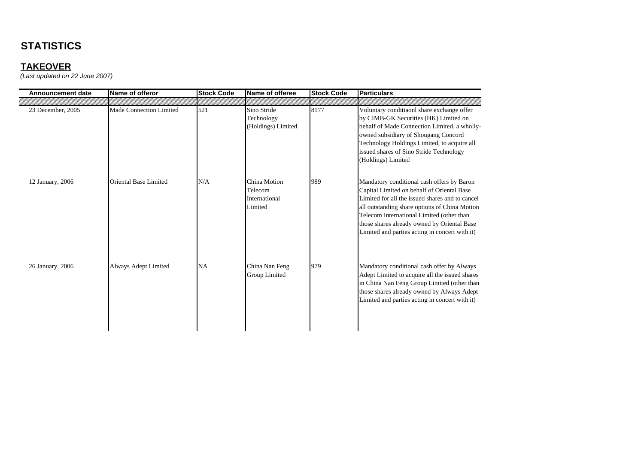| <b>Announcement date</b> | Name of offeror              | <b>Stock Code</b> | Name of offeree                                     | <b>Stock Code</b> | <b>Particulars</b>                                                                                                                                                                                                                                                                                                                         |
|--------------------------|------------------------------|-------------------|-----------------------------------------------------|-------------------|--------------------------------------------------------------------------------------------------------------------------------------------------------------------------------------------------------------------------------------------------------------------------------------------------------------------------------------------|
|                          |                              |                   |                                                     |                   |                                                                                                                                                                                                                                                                                                                                            |
| 23 December, 2005        | Made Connection Limited      | 521               | Sino Stride<br>Technology<br>(Holdings) Limited     | 8177              | Voluntary conditiaonl share exchange offer<br>by CIMB-GK Securities (HK) Limited on<br>behalf of Made Connection Limited, a wholly-<br>owned subsidiary of Shougang Concord<br>Technology Holdings Limited, to acquire all<br>issued shares of Sino Stride Technology<br>(Holdings) Limited                                                |
| 12 January, 2006         | <b>Oriental Base Limited</b> | N/A               | China Motion<br>Telecom<br>International<br>Limited | 989               | Mandatory conditional cash offers by Baron<br>Capital Limited on behalf of Oriental Base<br>Limited for all the issued shares and to cancel<br>all outstanding share options of China Motion<br>Telecom International Limited (other than<br>those shares already owned by Oriental Base<br>Limited and parties acting in concert with it) |
| 26 January, 2006         | Always Adept Limited         | <b>NA</b>         | China Nan Feng<br>Group Limited                     | 979               | Mandatory conditional cash offer by Always<br>Adept Limited to acquire all the issued shares<br>in China Nan Feng Group Limited (other than<br>those shares already owned by Always Adept<br>Limited and parties acting in concert with it)                                                                                                |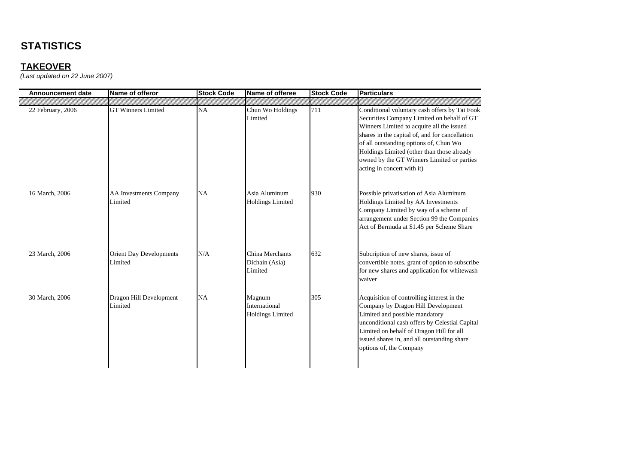## **TAKEOVER**

| <b>Announcement date</b> | Name of offeror                           | <b>Stock Code</b> | Name of offeree                                    | <b>Stock Code</b> | <b>Particulars</b>                                                                                                                                                                                                                                                                                                                                             |
|--------------------------|-------------------------------------------|-------------------|----------------------------------------------------|-------------------|----------------------------------------------------------------------------------------------------------------------------------------------------------------------------------------------------------------------------------------------------------------------------------------------------------------------------------------------------------------|
|                          |                                           |                   |                                                    |                   |                                                                                                                                                                                                                                                                                                                                                                |
| 22 February, 2006        | <b>GT Winners Limited</b>                 | NA                | Chun Wo Holdings<br>Limited                        | 711               | Conditional voluntary cash offers by Tai Fook<br>Securities Company Limited on behalf of GT<br>Winners Limited to acquire all the issued<br>shares in the capital of, and for cancellation<br>of all outstanding options of, Chun Wo<br>Holdings Limited (other than those already<br>owned by the GT Winners Limited or parties<br>acting in concert with it) |
| 16 March, 2006           | <b>AA Investments Company</b><br>Limited  | NA                | Asia Aluminum<br>Holdings Limited                  | 930               | Possible privatisation of Asia Aluminum<br>Holdings Limited by AA Investments<br>Company Limited by way of a scheme of<br>arrangement under Section 99 the Companies<br>Act of Bermuda at \$1.45 per Scheme Share                                                                                                                                              |
| 23 March, 2006           | <b>Orient Day Developments</b><br>Limited | N/A               | China Merchants<br>Dichain (Asia)<br>Limited       | 632               | Subcription of new shares, issue of<br>convertible notes, grant of option to subscribe<br>for new shares and application for whitewash<br>waiver                                                                                                                                                                                                               |
| 30 March, 2006           | Dragon Hill Development<br>Limited        | <b>NA</b>         | Magnum<br>International<br><b>Holdings Limited</b> | 305               | Acquisition of controlling interest in the<br>Company by Dragon Hill Development<br>Limited and possible mandatory<br>unconditional cash offers by Celestial Capital<br>Limited on behalf of Dragon Hill for all<br>issued shares in, and all outstanding share<br>options of, the Company                                                                     |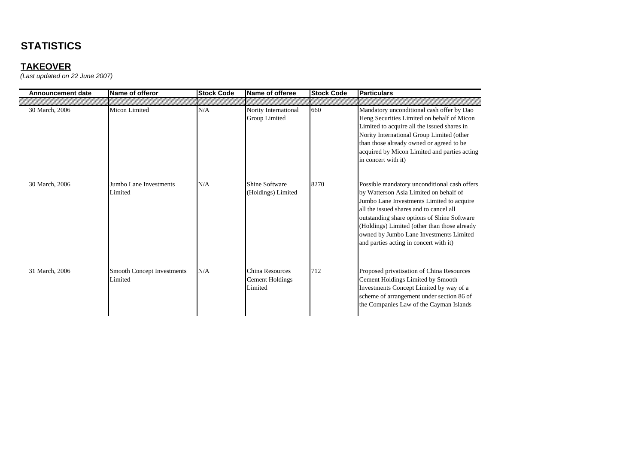| <b>Announcement date</b> | Name of offeror                              | <b>Stock Code</b> | Name of offeree                               | <b>Stock Code</b> | <b>Particulars</b>                                                                                                                                                                                                                                                                                                                                                 |
|--------------------------|----------------------------------------------|-------------------|-----------------------------------------------|-------------------|--------------------------------------------------------------------------------------------------------------------------------------------------------------------------------------------------------------------------------------------------------------------------------------------------------------------------------------------------------------------|
|                          |                                              |                   |                                               |                   |                                                                                                                                                                                                                                                                                                                                                                    |
| 30 March, 2006           | Micon Limited                                | N/A               | Nority International<br><b>Group Limited</b>  | 660               | Mandatory unconditional cash offer by Dao<br>Heng Securities Limited on behalf of Micon<br>Limited to acquire all the issued shares in<br>Nority International Group Limited (other<br>than those already owned or agreed to be<br>acquired by Micon Limited and parties acting<br>in concert with it)                                                             |
| 30 March, 2006           | Jumbo Lane Investments<br>Limited            | N/A               | Shine Software<br>(Holdings) Limited          | 8270              | Possible mandatory unconditional cash offers<br>by Watterson Asia Limited on behalf of<br>Jumbo Lane Investments Limited to acquire<br>all the issued shares and to cancel all<br>outstanding share options of Shine Software<br>(Holdings) Limited (other than those already<br>owned by Jumbo Lane Investments Limited<br>and parties acting in concert with it) |
| 31 March, 2006           | <b>Smooth Concept Investments</b><br>Limited | N/A               | China Resources<br>Cement Holdings<br>Limited | 712               | Proposed privatisation of China Resources<br>Cement Holdings Limited by Smooth<br>Investments Concept Limited by way of a<br>scheme of arrangement under section 86 of<br>the Companies Law of the Cayman Islands                                                                                                                                                  |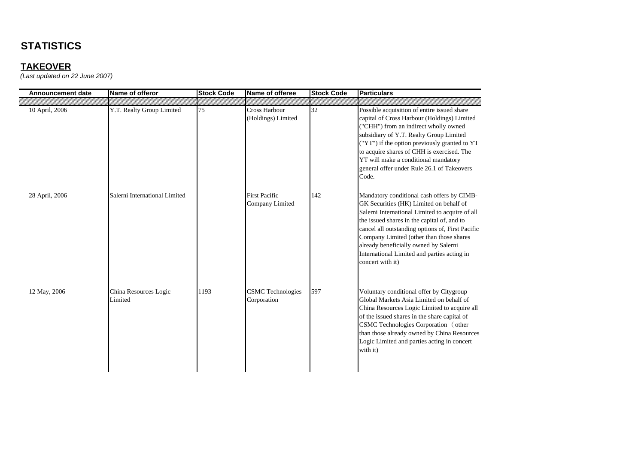### **TAKEOVER**

| <b>Announcement date</b> | Name of offeror                  | <b>Stock Code</b> | Name of offeree                         | <b>Stock Code</b> | <b>Particulars</b>                                                                                                                                                                                                                                                                                                                                                                                  |
|--------------------------|----------------------------------|-------------------|-----------------------------------------|-------------------|-----------------------------------------------------------------------------------------------------------------------------------------------------------------------------------------------------------------------------------------------------------------------------------------------------------------------------------------------------------------------------------------------------|
| 10 April, 2006           | Y.T. Realty Group Limited        | 75                | Cross Harbour<br>(Holdings) Limited     | 32                | Possible acquisition of entire issued share<br>capital of Cross Harbour (Holdings) Limited<br>("CHH") from an indirect wholly owned<br>subsidiary of Y.T. Realty Group Limited<br>("YT") if the option previously granted to YT<br>to acquire shares of CHH is exercised. The<br>YT will make a conditional mandatory<br>general offer under Rule 26.1 of Takeovers<br>Code.                        |
| 28 April, 2006           | Salerni International Limited    |                   | <b>First Pacific</b><br>Company Limited | 142               | Mandatory conditional cash offers by CIMB-<br>GK Securities (HK) Limited on behalf of<br>Salerni International Limited to acquire of all<br>the issued shares in the capital of, and to<br>cancel all outstanding options of, First Pacific<br>Company Limited (other than those shares<br>already beneficially owned by Salerni<br>International Limited and parties acting in<br>concert with it) |
| 12 May, 2006             | China Resources Logic<br>Limited | 1193              | <b>CSMC</b> Technologies<br>Corporation | 597               | Voluntary conditional offer by Citygroup<br>Global Markets Asia Limited on behalf of<br>China Resources Logic Limited to acquire all<br>of the issued shares in the share capital of<br>CSMC Technologies Corporation (other<br>than those already owned by China Resources<br>Logic Limited and parties acting in concert<br>with it)                                                              |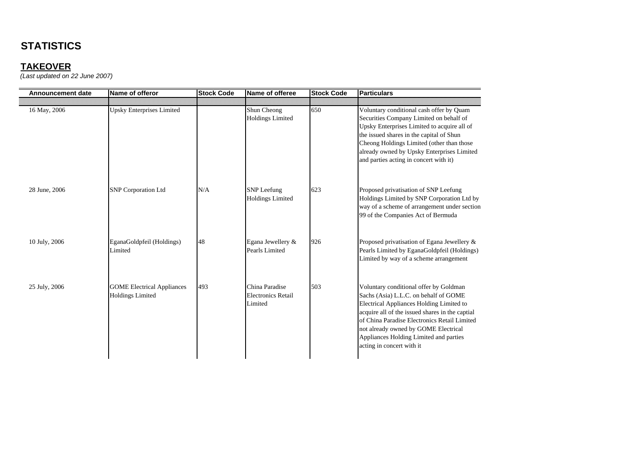| Announcement date | Name of offeror                                              | <b>Stock Code</b> | Name of offeree                                        | <b>Stock Code</b> | <b>Particulars</b>                                                                                                                                                                                                                                                                                                                            |
|-------------------|--------------------------------------------------------------|-------------------|--------------------------------------------------------|-------------------|-----------------------------------------------------------------------------------------------------------------------------------------------------------------------------------------------------------------------------------------------------------------------------------------------------------------------------------------------|
|                   |                                                              |                   |                                                        |                   |                                                                                                                                                                                                                                                                                                                                               |
| 16 May, 2006      | <b>Upsky Enterprises Limited</b>                             |                   | Shun Cheong<br><b>Holdings Limited</b>                 | 650               | Voluntary conditional cash offer by Quam<br>Securities Company Limited on behalf of<br>Upsky Enterprises Limited to acquire all of<br>the issued shares in the capital of Shun<br>Cheong Holdings Limited (other than those<br>already owned by Upsky Enterprises Limited<br>and parties acting in concert with it)                           |
| 28 June, 2006     | <b>SNP</b> Corporation Ltd                                   | N/A               | <b>SNP</b> Leefung<br><b>Holdings Limited</b>          | 623               | Proposed privatisation of SNP Leefung<br>Holdings Limited by SNP Corporation Ltd by<br>way of a scheme of arrangement under section<br>99 of the Companies Act of Bermuda                                                                                                                                                                     |
| 10 July, 2006     | EganaGoldpfeil (Holdings)<br>Limited                         | 48                | Egana Jewellery &<br>Pearls Limited                    | 926               | Proposed privatisation of Egana Jewellery &<br>Pearls Limited by EganaGoldpfeil (Holdings)<br>Limited by way of a scheme arrangement                                                                                                                                                                                                          |
| 25 July, 2006     | <b>GOME</b> Electrical Appliances<br><b>Holdings Limited</b> | 493               | China Paradise<br><b>Electronics Retail</b><br>Limited | 503               | Voluntary conditional offer by Goldman<br>Sachs (Asia) L.L.C. on behalf of GOME<br>Electrical Appliances Holding Limited to<br>acquire all of the issued shares in the captial<br>of China Paradise Electronics Retail Limited<br>not already owned by GOME Electrical<br>Appliances Holding Limited and parties<br>acting in concert with it |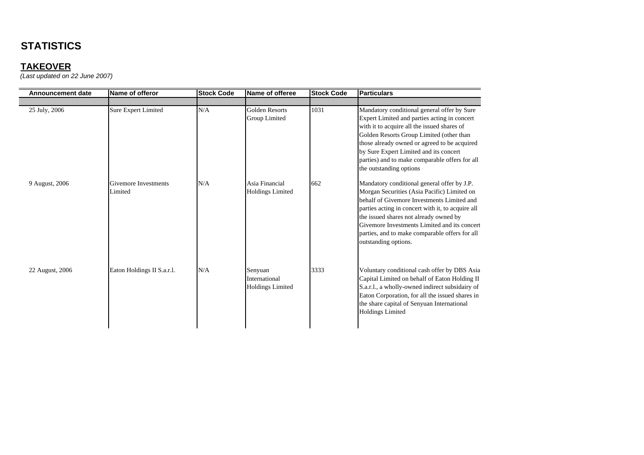| <b>Announcement date</b> | Name of offeror                 | <b>Stock Code</b> | Name of offeree                                     | <b>Stock Code</b> | <b>Particulars</b>                                                                                                                                                                                                                                                                                                                                                |
|--------------------------|---------------------------------|-------------------|-----------------------------------------------------|-------------------|-------------------------------------------------------------------------------------------------------------------------------------------------------------------------------------------------------------------------------------------------------------------------------------------------------------------------------------------------------------------|
|                          |                                 |                   |                                                     |                   |                                                                                                                                                                                                                                                                                                                                                                   |
| 25 July, 2006            | Sure Expert Limited             | N/A               | <b>Golden Resorts</b><br>Group Limited              | 1031              | Mandatory conditional general offer by Sure<br>Expert Limited and parties acting in concert<br>with it to acquire all the issued shares of<br>Golden Resorts Group Limited (other than<br>those already owned or agreed to be acquired<br>by Sure Expert Limited and its concert<br>parties) and to make comparable offers for all<br>the outstanding options     |
| 9 August, 2006           | Givemore Investments<br>Limited | N/A               | Asia Financial<br><b>Holdings Limited</b>           | 662               | Mandatory conditional general offer by J.P.<br>Morgan Securities (Asia Pacific) Limited on<br>behalf of Givemore Investments Limited and<br>parties acting in concert with it, to acquire all<br>the issued shares not already owned by<br>Givemore Investments Limited and its concert<br>parties, and to make comparable offers for all<br>outstanding options. |
| 22 August, 2006          | Eaton Holdings II S.a.r.l.      | N/A               | Senyuan<br>International<br><b>Holdings Limited</b> | 3333              | Voluntary conditional cash offer by DBS Asia<br>Capital Limited on behalf of Eaton Holding II<br>S.a.r.l., a wholly-owned indirect subsidairy of<br>Eaton Corporation, for all the issued shares in<br>the share capital of Senyuan International<br><b>Holdings Limited</b>                                                                                      |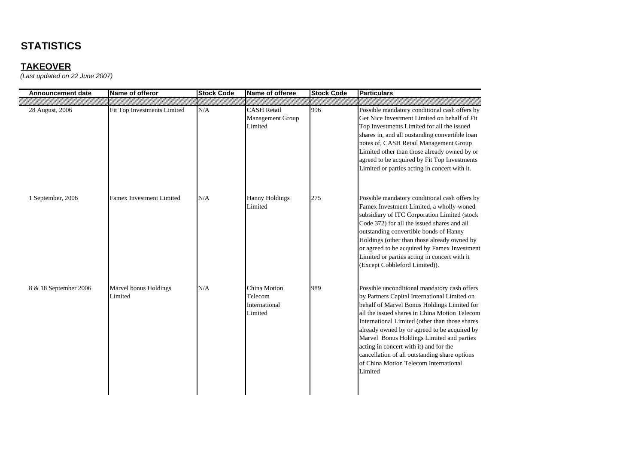### **TAKEOVER**

| <b>Announcement date</b> | Name of offeror                  | <b>Stock Code</b> | Name of offeree                                          | <b>Stock Code</b> | <b>Particulars</b>                                                                                                                                                                                                                                                                                                                                                                                                                                                                         |
|--------------------------|----------------------------------|-------------------|----------------------------------------------------------|-------------------|--------------------------------------------------------------------------------------------------------------------------------------------------------------------------------------------------------------------------------------------------------------------------------------------------------------------------------------------------------------------------------------------------------------------------------------------------------------------------------------------|
| 28 August, 2006          | Fit Top Investments Limited      | N/A               | <b>CASH Retail</b><br><b>Management Group</b><br>Limited | 996               | Possible mandatory conditional cash offers by<br>Get Nice Investment Limited on behalf of Fit<br>Top Investments Limited for all the issued<br>shares in, and all oustanding convertible loan<br>notes of, CASH Retail Management Group<br>Limited other than those already owned by or<br>agreed to be acquired by Fit Top Investments<br>Limited or parties acting in concert with it.                                                                                                   |
| 1 September, 2006        | <b>Famex Investment Limited</b>  | N/A               | <b>Hanny Holdings</b><br>Limited                         | 275               | Possible mandatory conditional cash offers by<br>Famex Investment Limited, a wholly-woned<br>subsidiary of ITC Corporation Limited (stock<br>Code 372) for all the issued shares and all<br>outstanding convertible bonds of Hanny<br>Holdings (other than those already owned by<br>or agreed to be acquired by Famex Investment<br>Limited or parties acting in concert with it<br>(Except Cobbleford Limited)).                                                                         |
| 8 & 18 September 2006    | Marvel bonus Holdings<br>Limited | N/A               | China Motion<br>Telecom<br>International<br>Limited      | 989               | Possible unconditional mandatory cash offers<br>by Partners Capital International Limited on<br>behalf of Marvel Bonus Holdings Limited for<br>all the issued shares in China Motion Telecom<br>International Limited (other than those shares<br>already owned by or agreed to be acquired by<br>Marvel Bonus Holdings Limited and parties<br>acting in concert with it) and for the<br>cancellation of all outstanding share options<br>of China Motion Telecom International<br>Limited |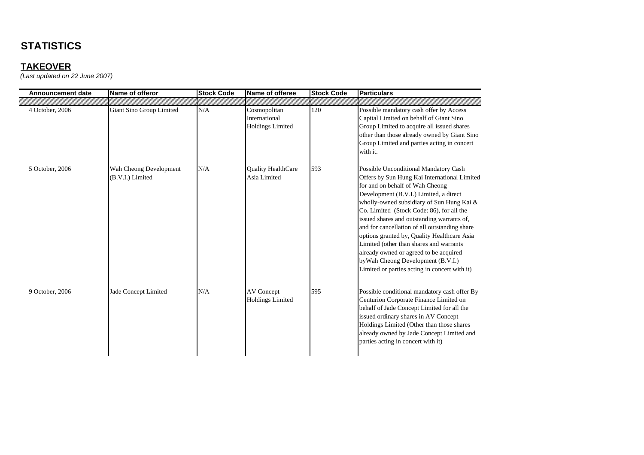| <b>Announcement date</b> | Name of offeror                            | <b>Stock Code</b> | Name of offeree                                          | <b>Stock Code</b> | <b>Particulars</b>                                                                                                                                                                                                                                                                                                                                                                                                                                                                                                                                                                     |
|--------------------------|--------------------------------------------|-------------------|----------------------------------------------------------|-------------------|----------------------------------------------------------------------------------------------------------------------------------------------------------------------------------------------------------------------------------------------------------------------------------------------------------------------------------------------------------------------------------------------------------------------------------------------------------------------------------------------------------------------------------------------------------------------------------------|
|                          |                                            |                   |                                                          |                   |                                                                                                                                                                                                                                                                                                                                                                                                                                                                                                                                                                                        |
| 4 October, 2006          | Giant Sino Group Limited                   | N/A               | Cosmopolitan<br>International<br><b>Holdings Limited</b> | 120               | Possible mandatory cash offer by Access<br>Capital Limited on behalf of Giant Sino<br>Group Limited to acquire all issued shares<br>other than those already owned by Giant Sino<br>Group Limited and parties acting in concert<br>with it.                                                                                                                                                                                                                                                                                                                                            |
| 5 October, 2006          | Wah Cheong Development<br>(B.V.I.) Limited | N/A               | <b>Quality HealthCare</b><br>Asia Limited                | 593               | Possible Unconditional Mandatory Cash<br>Offers by Sun Hung Kai International Limited<br>for and on behalf of Wah Cheong<br>Development (B.V.I.) Limited, a direct<br>wholly-owned subsidiary of Sun Hung Kai &<br>Co. Limited (Stock Code: 86), for all the<br>issued shares and outstanding warrants of,<br>and for cancellation of all outstanding share<br>options granted by, Quality Healthcare Asia<br>Limited (other than shares and warrants<br>already owned or agreed to be acquired<br>by Wah Cheong Development (B.V.I.)<br>Limited or parties acting in concert with it) |
| 9 October, 2006          | Jade Concept Limited                       | N/A               | <b>AV Concept</b><br><b>Holdings Limited</b>             | 595               | Possible conditional mandatory cash offer By<br>Centurion Corporate Finance Limited on<br>behalf of Jade Concept Limited for all the<br>issued ordinary shares in AV Concept<br>Holdings Limited (Other than those shares<br>already owned by Jade Concept Limited and<br>parties acting in concert with it)                                                                                                                                                                                                                                                                           |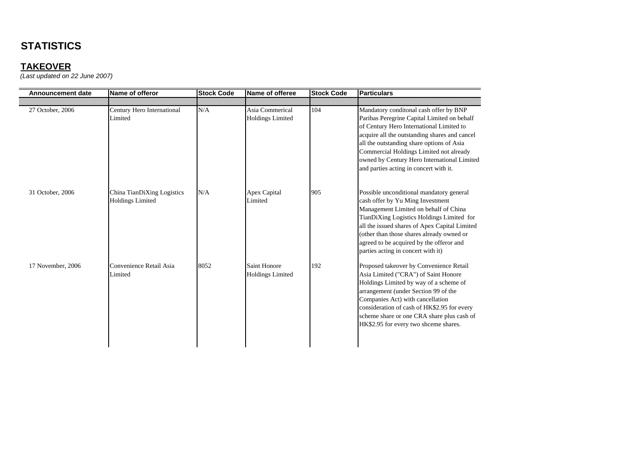## **TAKEOVER**

| <b>Announcement date</b> | Name of offeror                                       | <b>Stock Code</b> | Name of offeree                            | <b>Stock Code</b> | <b>Particulars</b>                                                                                                                                                                                                                                                                                                                                                  |
|--------------------------|-------------------------------------------------------|-------------------|--------------------------------------------|-------------------|---------------------------------------------------------------------------------------------------------------------------------------------------------------------------------------------------------------------------------------------------------------------------------------------------------------------------------------------------------------------|
|                          |                                                       |                   |                                            |                   |                                                                                                                                                                                                                                                                                                                                                                     |
| 27 October, 2006         | Century Hero International<br>Limited                 | N/A               | Asia Commerical<br><b>Holdings Limited</b> | 104               | Mandatory conditonal cash offer by BNP<br>Paribas Peregrine Capital Limited on behalf<br>of Century Hero International Limited to<br>acquire all the outstanding shares and cancel<br>all the outstanding share options of Asia<br>Commercial Holdings Limited not already<br>owned by Century Hero International Limited<br>and parties acting in concert with it. |
| 31 October, 2006         | China TianDiXing Logistics<br><b>Holdings Limited</b> | N/A               | Apex Capital<br>Limited                    | 905               | Possible unconditional mandatory general<br>cash offer by Yu Ming Investment<br>Management Limited on behalf of China<br>TianDiXing Logistics Holdings Limited for<br>all the issued shares of Apex Capital Limited<br>(other than those shares already owned or<br>agreed to be acquired by the offeror and<br>parties acting in concert with it)                  |
| 17 November, 2006        | Convenience Retail Asia<br>Limited                    | 8052              | Saint Honore<br><b>Holdings Limited</b>    | 192               | Proposed takeover by Convenience Retail<br>Asia Limited ("CRA") of Saint Honore<br>Holdings Limited by way of a scheme of<br>arrangement (under Section 99 of the<br>Companies Act) with cancellation<br>consideration of cash of HK\$2.95 for every<br>scheme share or one CRA share plus cash of<br>HK\$2.95 for every two shceme shares.                         |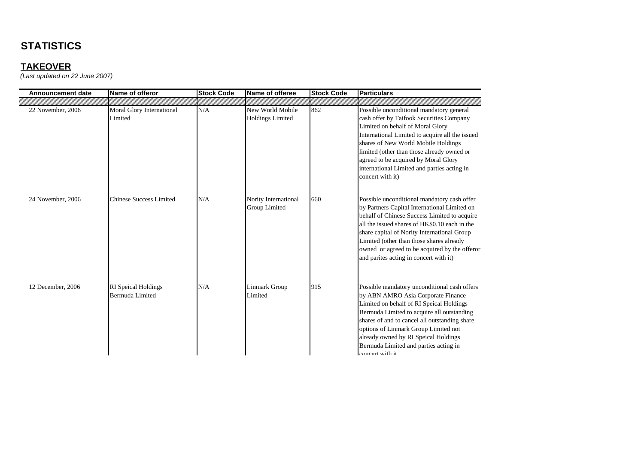## **TAKEOVER**

| <b>Announcement date</b> | Name of offeror                               | <b>Stock Code</b> | Name of offeree                             | <b>Stock Code</b> | <b>Particulars</b>                                                                                                                                                                                                                                                                                                                                                                 |
|--------------------------|-----------------------------------------------|-------------------|---------------------------------------------|-------------------|------------------------------------------------------------------------------------------------------------------------------------------------------------------------------------------------------------------------------------------------------------------------------------------------------------------------------------------------------------------------------------|
|                          |                                               |                   |                                             |                   |                                                                                                                                                                                                                                                                                                                                                                                    |
| 22 November, 2006        | Moral Glory International<br>Limited          | N/A               | New World Mobile<br><b>Holdings Limited</b> | 862               | Possible unconditional mandatory general<br>cash offer by Taifook Securities Company<br>Limited on behalf of Moral Glory<br>International Limited to acquire all the issued<br>shares of New World Mobile Holdings<br>limited (other than those already owned or<br>agreed to be acquired by Moral Glory<br>international Limited and parties acting in<br>concert with it)        |
| 24 November, 2006        | <b>Chinese Success Limited</b>                | N/A               | Nority International<br>Group Limited       | 660               | Possible unconditional mandatory cash offer<br>by Partners Capital International Limited on<br>behalf of Chinese Success Limited to acquire<br>all the issued shares of HK\$0.10 each in the<br>share capital of Nority International Group<br>Limited (other than those shares already<br>owned or agreed to be acquired by the offeror<br>and parites acting in concert with it) |
| 12 December, 2006        | <b>RI</b> Speical Holdings<br>Bermuda Limited | N/A               | Linmark Group<br>Limited                    | 915               | Possible mandatory unconditional cash offers<br>by ABN AMRO Asia Corporate Finance<br>Limited on behalf of RI Speical Holdings<br>Bermuda Limited to acquire all outstanding<br>shares of and to cancel all outstanding share<br>options of Linmark Group Limited not<br>already owned by RI Speical Holdings<br>Bermuda Limited and parties acting in<br>concert with it          |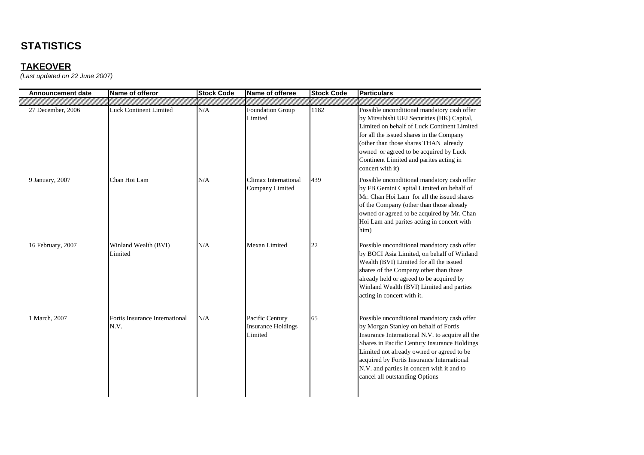## **TAKEOVER**

| <b>Announcement date</b> | Name of offeror                        | <b>Stock Code</b> | Name of offeree                                         | <b>Stock Code</b> | <b>Particulars</b>                                                                                                                                                                                                                                                                                                                                                 |
|--------------------------|----------------------------------------|-------------------|---------------------------------------------------------|-------------------|--------------------------------------------------------------------------------------------------------------------------------------------------------------------------------------------------------------------------------------------------------------------------------------------------------------------------------------------------------------------|
| 27 December, 2006        | <b>Luck Continent Limited</b>          | N/A               | Foundation Group<br>Limited                             | 1182              | Possible unconditional mandatory cash offer<br>by Mitsubishi UFJ Securities (HK) Capital,<br>Limited on behalf of Luck Continent Limited<br>for all the issued shares in the Company<br>(other than those shares THAN already<br>owned or agreed to be acquired by Luck<br>Continent Limited and parites acting in<br>concert with it)                             |
| 9 January, 2007          | Chan Hoi Lam                           | N/A               | Climax International<br>Company Limited                 | 439               | Possible unconditional mandatory cash offer<br>by FB Gemini Capital Limited on behalf of<br>Mr. Chan Hoi Lam for all the issued shares<br>of the Company (other than those already<br>owned or agreed to be acquired by Mr. Chan<br>Hoi Lam and parites acting in concert with<br>him)                                                                             |
| 16 February, 2007        | Winland Wealth (BVI)<br>Limited        | N/A               | Mexan Limited                                           | 22                | Possible unconditional mandatory cash offer<br>by BOCI Asia Limited, on behalf of Winland<br>Wealth (BVI) Limited for all the issued<br>shares of the Company other than those<br>already held or agreed to be acquired by<br>Winland Wealth (BVI) Limited and parties<br>acting in concert with it.                                                               |
| 1 March, 2007            | Fortis Insurance International<br>N.V. | N/A               | Pacific Century<br><b>Insurance Holdings</b><br>Limited | 65                | Possible unconditional mandatory cash offer<br>by Morgan Stanley on behalf of Fortis<br>Insurance International N.V. to acquire all the<br>Shares in Pacific Century Insurance Holdings<br>Limited not already owned or agreed to be<br>acquired by Fortis Insurance International<br>N.V. and parties in concert with it and to<br>cancel all outstanding Options |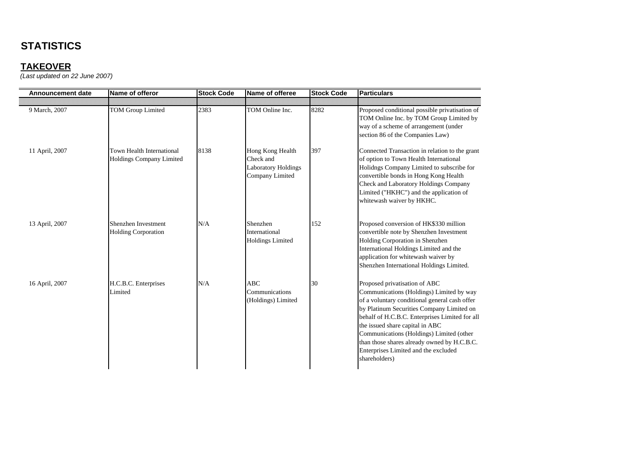| <b>Announcement date</b> | Name of offeror                                       | <b>Stock Code</b> | Name of offeree                                                                | <b>Stock Code</b> | <b>Particulars</b>                                                                                                                                                                                                                                                                                                                                                                                               |
|--------------------------|-------------------------------------------------------|-------------------|--------------------------------------------------------------------------------|-------------------|------------------------------------------------------------------------------------------------------------------------------------------------------------------------------------------------------------------------------------------------------------------------------------------------------------------------------------------------------------------------------------------------------------------|
|                          |                                                       |                   |                                                                                |                   |                                                                                                                                                                                                                                                                                                                                                                                                                  |
| 9 March, 2007            | <b>TOM Group Limited</b>                              | 2383              | TOM Online Inc.                                                                | 8282              | Proposed conditional possible privatisation of<br>TOM Online Inc. by TOM Group Limited by<br>way of a scheme of arrangement (under<br>section 86 of the Companies Law)                                                                                                                                                                                                                                           |
| 11 April, 2007           | Town Health International<br>Holdings Company Limited | 8138              | Hong Kong Health<br>Check and<br><b>Laboratory Holdings</b><br>Company Limited | 397               | Connected Transaction in relation to the grant<br>of option to Town Health International<br>Holidngs Company Limited to subscribe for<br>convertible bonds in Hong Kong Health<br><b>Check and Laboratory Holdings Company</b><br>Limited ("HKHC") and the application of<br>whitewash waiver by HKHC.                                                                                                           |
| 13 April, 2007           | Shenzhen Investment<br><b>Holding Corporation</b>     | N/A               | Shenzhen<br>International<br><b>Holdings Limited</b>                           | 152               | Proposed conversion of HK\$330 million<br>convertible note by Shenzhen Investment<br>Holding Corporation in Shenzhen<br>International Holdings Limited and the<br>application for whitewash waiver by<br>Shenzhen International Holdings Limited.                                                                                                                                                                |
| 16 April, 2007           | H.C.B.C. Enterprises<br>Limited                       | N/A               | ABC<br>Communications<br>(Holdings) Limited                                    | 30                | Proposed privatisation of ABC<br>Communications (Holdings) Limited by way<br>of a voluntary conditional general cash offer<br>by Platinum Securities Company Limited on<br>behalf of H.C.B.C. Enterprises Limited for all<br>the issued share capital in ABC<br>Communications (Holdings) Limited (other<br>than those shares already owned by H.C.B.C.<br>Enterprises Limited and the excluded<br>shareholders) |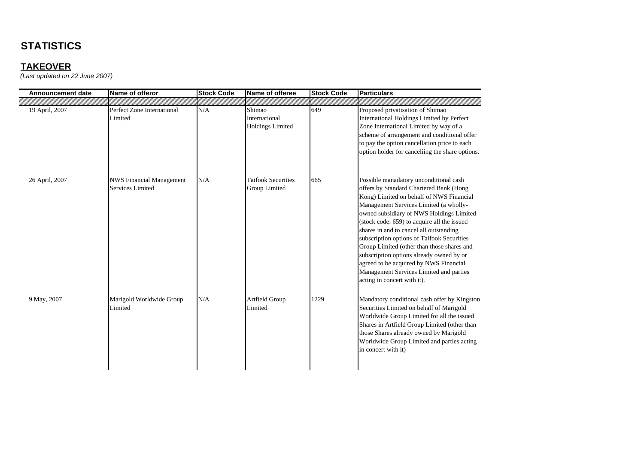### **TAKEOVER**

| <b>Announcement date</b> | Name of offeror                                     | <b>Stock Code</b> | Name of offeree                                    | <b>Stock Code</b> | <b>Particulars</b>                                                                                                                                                                                                                                                                                                                                                                                                                                                                                                                                                        |
|--------------------------|-----------------------------------------------------|-------------------|----------------------------------------------------|-------------------|---------------------------------------------------------------------------------------------------------------------------------------------------------------------------------------------------------------------------------------------------------------------------------------------------------------------------------------------------------------------------------------------------------------------------------------------------------------------------------------------------------------------------------------------------------------------------|
| 19 April, 2007           | Perfect Zone International<br>Limited               | N/A               | Shimao<br>International<br><b>Holdings Limited</b> | 649               | Proposed privatisation of Shimao<br>International Holdings Limited by Perfect<br>Zone International Limited by way of a<br>scheme of arrangement and conditional offer<br>to pay the option cancellation price to each<br>option holder for cancelling the share options.                                                                                                                                                                                                                                                                                                 |
| 26 April, 2007           | <b>NWS Financial Management</b><br>Services Limited | N/A               | <b>Taifook Securities</b><br>Group Limited         | 665               | Possible manadatory unconditional cash<br>offers by Standard Chartered Bank (Hong<br>Kong) Limited on behalf of NWS Financial<br>Management Services Limited (a wholly-<br>owned subsidiary of NWS Holdings Limited<br>(stock code: 659) to acquire all the issued<br>shares in and to cancel all outstanding<br>subscription options of Taifook Securities<br>Group Limited (other than those shares and<br>subscription options already owned by or<br>agreed to be acquired by NWS Financial<br>Management Services Limited and parties<br>acting in concert with it). |
| 9 May, 2007              | Marigold Worldwide Group<br>Limited                 | N/A               | Artfield Group<br>Limited                          | 1229              | Mandatory conditional cash offer by Kingston<br>Securities Limited on behalf of Marigold<br>Worldwide Group Limited for all the issued<br>Shares in Artfield Group Limited (other than<br>those Shares already owned by Marigold<br>Worldwide Group Limited and parties acting<br>in concert with it)                                                                                                                                                                                                                                                                     |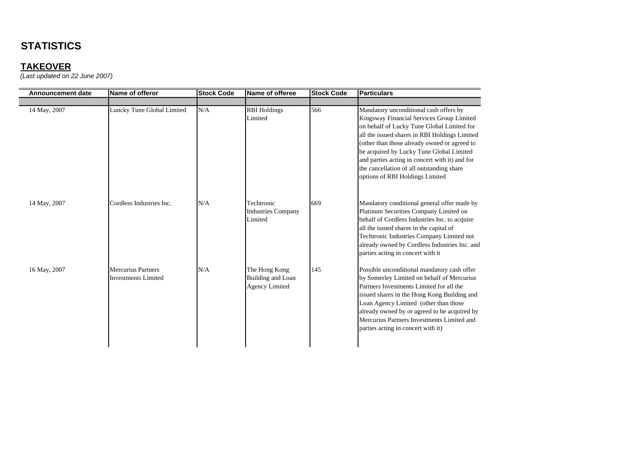## **TAKEOVER**

| <b>Announcement date</b> | Name of offeror                                  | <b>Stock Code</b> | Name of offeree                                             | <b>Stock Code</b> | <b>Particulars</b>                                                                                                                                                                                                                                                                                                                                                                                               |
|--------------------------|--------------------------------------------------|-------------------|-------------------------------------------------------------|-------------------|------------------------------------------------------------------------------------------------------------------------------------------------------------------------------------------------------------------------------------------------------------------------------------------------------------------------------------------------------------------------------------------------------------------|
|                          |                                                  |                   |                                                             |                   |                                                                                                                                                                                                                                                                                                                                                                                                                  |
| 14 May, 2007             | Luncky Tune Global Limited                       | N/A               | <b>RBI</b> Holdings<br>Limited                              | 566               | Mandatory unconditional cash offers by<br>Kingsway Financial Services Group Limited<br>on behalf of Lucky Tune Global Limited for<br>all the issued shares in RBI Holdings Limited<br>(other than those already owned or agreed to<br>be acquired by Lucky Tune Global Limited<br>and parties acting in concert with it) and for<br>the cancellation of all outstanding share<br>options of RBI Holdings Limited |
| 14 May, 2007             | Cordless Industries Inc.                         | N/A               | Techtronic<br><b>Industries Company</b><br>Limited          | 669               | Mandatory conditional general offer made by<br>Platinum Securities Company Limited on<br>behalf of Cordless Industries Inc. to acquire<br>all the issued shares in the capital of<br>Techtronic Industries Company Limited not<br>already owned by Cordless Industries Inc. and<br>parties acting in concert with it                                                                                             |
| 16 May, 2007             | <b>Mercurius Partners</b><br>Investments Limited | N/A               | The Hong Kong<br>Building and Loan<br><b>Agency Limited</b> | 145               | Possible unconditional mandatory cash offer<br>by Somerley Limited on behalf of Mercurius<br>Partners Investments Limited for all the<br>issued shares in the Hong Kong Building and<br>Loan Agency Limited (other than those<br>already owned by or agreed to be acquired by<br>Mercurius Partners Investments Limited and<br>parties acting in concert with it)                                                |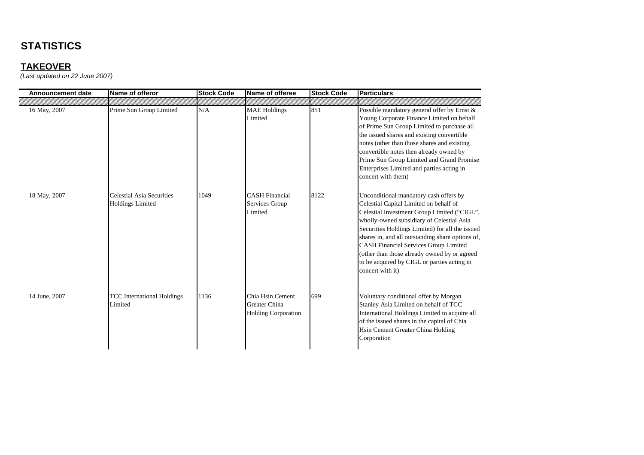## **TAKEOVER**

| <b>Announcement date</b> | Name of offeror                                             | <b>Stock Code</b> | Name of offeree                                                 | <b>Stock Code</b> | <b>IParticulars</b>                                                                                                                                                                                                                                                                                                                                                                                                                                    |
|--------------------------|-------------------------------------------------------------|-------------------|-----------------------------------------------------------------|-------------------|--------------------------------------------------------------------------------------------------------------------------------------------------------------------------------------------------------------------------------------------------------------------------------------------------------------------------------------------------------------------------------------------------------------------------------------------------------|
|                          |                                                             |                   |                                                                 |                   |                                                                                                                                                                                                                                                                                                                                                                                                                                                        |
| 16 May, 2007             | Prime Sun Group Limited                                     | N/A               | <b>MAE</b> Holdings<br>Limited                                  | 851               | Possible mandatory general offer by Ernst &<br>Young Corporate Finance Limited on behalf<br>of Prime Sun Group Limited to purchase all<br>the issued shares and existing convertible<br>notes (other than those shares and existing<br>convertible notes then already owned by<br>Prime Sun Group Limited and Grand Promise<br>Enterprises Limited and parties acting in<br>concert with them)                                                         |
| 18 May, 2007             | <b>Celestial Asia Securities</b><br><b>Holdings Limited</b> | 1049              | <b>CASH Financial</b><br>Services Group<br>Limited              | 8122              | Unconditional mandatory cash offers by<br>Celestial Capital Limited on behalf of<br>Celestial Investment Group Limited ("CIGL",<br>wholly-owned subsidiary of Celestial Asia<br>Securities Holdings Limited) for all the issued<br>shares in, and all outstanding share options of,<br><b>CASH Financial Services Group Limited</b><br>(other than those already owned by or agreed<br>to be acquired by CIGL or parties acting in<br>concert with it) |
| 14 June, 2007            | <b>TCC</b> International Holdings<br>Limited                | 1136              | Chia Hsin Cement<br>Greater China<br><b>Holding Corporation</b> | 699               | Voluntary conditional offer by Morgan<br>Stanley Asia Limited on behalf of TCC<br>International Holdings Limited to acquire all<br>of the issued shares in the capital of Chia<br>Hsin Cement Greater China Holding<br>Corporation                                                                                                                                                                                                                     |